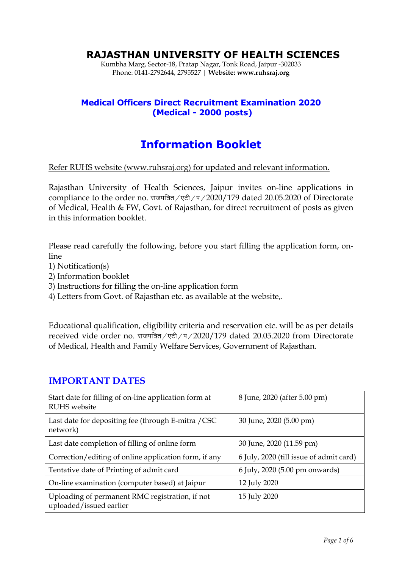# **RAJASTHAN UNIVERSITY OF HEALTH SCIENCES**

Kumbha Marg, Sector-18, Pratap Nagar, Tonk Road, Jaipur -302033 Phone: 0141-2792644, 2795527 | **Website: www.ruhsraj.org** 

### **Medical Officers Direct Recruitment Examination 2020 (Medical - 2000 posts)**

# **Information Booklet**

#### Refer RUHS website (www.ruhsraj.org) for updated and relevant information.

Rajasthan University of Health Sciences, Jaipur invites on-line applications in compliance to the order no.  $\pi\pi\pi\pi\pi$  /  $\pi$  /  $\pi$  / 2020/179 dated 20.05.2020 of Directorate of Medical, Health & FW, Govt. of Rajasthan, for direct recruitment of posts as given in this information booklet.

Please read carefully the following, before you start filling the application form, online

- 1) Notification(s)
- 2) Information booklet
- 3) Instructions for filling the on-line application form
- 4) Letters from Govt. of Rajasthan etc. as available at the website,.

Educational qualification, eligibility criteria and reservation etc. will be as per details received vide order no. राजपत्रित/एटी/प/2020/179 dated 20.05.2020 from Directorate of Medical, Health and Family Welfare Services, Government of Rajasthan.

#### **IMPORTANT DATES**

| Start date for filling of on-line application form at<br><b>RUHS</b> website | 8 June, 2020 (after 5.00 pm)            |
|------------------------------------------------------------------------------|-----------------------------------------|
| Last date for depositing fee (through E-mitra / CSC<br>network)              | 30 June, 2020 (5.00 pm)                 |
| Last date completion of filling of online form                               | 30 June, 2020 (11.59 pm)                |
| Correction/editing of online application form, if any                        | 6 July, 2020 (till issue of admit card) |
| Tentative date of Printing of admit card                                     | 6 July, 2020 (5.00 pm onwards)          |
| On-line examination (computer based) at Jaipur                               | 12 July 2020                            |
| Uploading of permanent RMC registration, if not<br>uploaded/issued earlier   | 15 July 2020                            |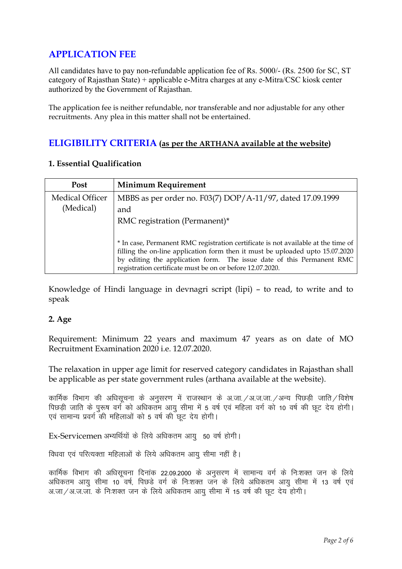# **APPLICATION FEE**

All candidates have to pay non-refundable application fee of Rs. 5000/- (Rs. 2500 for SC, ST category of Rajasthan State) + applicable e-Mitra charges at any e-Mitra/CSC kiosk center authorized by the Government of Rajasthan.

The application fee is neither refundable, nor transferable and nor adjustable for any other recruitments. Any plea in this matter shall not be entertained.

### **ELIGIBILITY CRITERIA (as per the ARTHANA available at the website)**

| Post                                | <b>Minimum Requirement</b>                                                        |
|-------------------------------------|-----------------------------------------------------------------------------------|
| <b>Medical Officer</b><br>(Medical) | MBBS as per order no. F03(7) DOP/A-11/97, dated 17.09.1999                        |
|                                     | and                                                                               |
|                                     | RMC registration (Permanent)*                                                     |
|                                     |                                                                                   |
|                                     | * In case, Permanent RMC registration certificate is not available at the time of |
|                                     | filling the on-line application form then it must be uploaded upto 15.07.2020     |
|                                     | by editing the application form. The issue date of this Permanent RMC             |
|                                     | registration certificate must be on or before 12.07.2020.                         |

#### **1. Essential Qualification**

Knowledge of Hindi language in devnagri script (lipi) – to read, to write and to speak

#### **2. Age**

Requirement: Minimum 22 years and maximum 47 years as on date of MO Recruitment Examination 2020 i.e. 12.07.2020.

The relaxation in upper age limit for reserved category candidates in Rajasthan shall be applicable as per state government rules (arthana available at the website).

कार्मिक विभाग की अधिसचना के अनसरण में राजस्थान के अ.जा. /अ.ज.जा. /अन्य पिछड़ी जाति /विशेष पिछड़ी जाति के पुरूष वर्ग को अधिकतम आयु सीमा में 5 वर्ष एवं महिला वर्ग को 10 वर्ष की छूट देय होगी। एवं सामान्य प्रवर्ग की महिलाओं को 5 वर्ष की छूट देय होगी।

Ex-Servicemen अभ्यर्थियों के लिये अधिकतम आयु 50 वर्ष होगी।

विधवा एवं परित्यक्ता महिलाओं के लिये अधिकतम आयु सीमा नहीं है।

कार्मिक विभाग की अधिसूचना दिनांक 22.09.2000 के अनुसरण में सामान्य वर्ग के निःशक्त जन के लिये अधिकतम आयु सीमा 10 वर्ष, पिछड़े वर्ग के निःशक्त जन के लिये अधिकतम आयु सीमा में 13 वर्ष एवं अ.जा/अ.ज.जा. के निःशक्त जन के लिये अधिकतम आयु सीमा में 15 वर्ष की छूट देय होगी।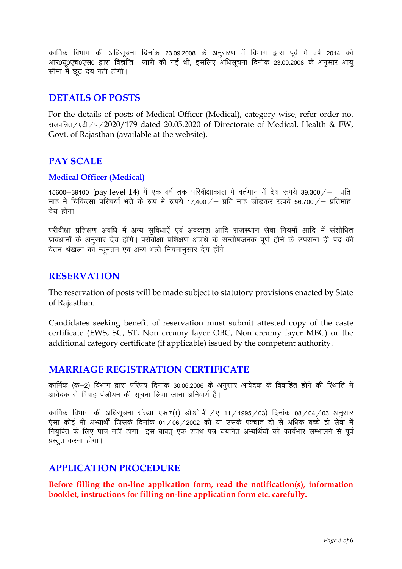कार्मिक विभाग की अधिसूचना दिनांक 23.09.2008 के अनुसरण में विभाग द्वारा पूर्व में वर्ष 2014 को आर0यू0एच0एस0 द्वारा विज्ञप्ति जारी की गई थी, इसलिए अधिसूचना दिनांक 23.09.2008 के अनुसार आयु सीमा में छट देय नही होगी।

### **DETAILS OF POSTS**

For the details of posts of Medical Officer (Medical), category wise, refer order no. राजपत्रित/एटी/प/2020/179 dated 20.05.2020 of Directorate of Medical, Health & FW, Govt. of Rajasthan (available at the website).

## **PAY SCALE**

#### **Medical Officer (Medical)**

15600—39100 (pay level 14) में एक वर्ष तक परिवीक्षाकाल मे वर्तमान में देय रूपये 39,300  $\angle$  – प्रति माह में चिकित्सा परिचर्या भत्ते के रूप में रूपये 17,400 / – प्रति माह जोडकर रूपये 56,700 / – प्रतिमाह देय होगा।

परीवीक्षा प्रशिक्षण अवधि में अन्य सुविधाऐं एवं अवकाश आदि राजस्थान सेवा नियमों आदि में संशोधित प्रावधानों के अनुसार देय होंगे। परीवीक्षा प्रशिक्षण अवधि के सन्तोषजनक पूर्ण होने के उपरान्त ही पद की वेतन श्रंखला का न्यूनतम एवं अन्य भत्ते नियमानसार देय होंगे।

### **RESERVATION**

The reservation of posts will be made subject to statutory provisions enacted by State of Rajasthan.

Candidates seeking benefit of reservation must submit attested copy of the caste certificate (EWS, SC, ST, Non creamy layer OBC, Non creamy layer MBC) or the additional category certificate (if applicable) issued by the competent authority.

### **MARRIAGE REGISTRATION CERTIFICATE**

कार्मिक (क-2) विभाग द्वारा परिपत्र दिनांक 30.06.2006 के अनुसार आवेदक के विवाहित होने की स्थिाति में आवेदक से विवाह पंजीयन की सूचना लिया जाना अनिवार्य है।

कार्मिक विभाग की अधिसूचना संख्या एफ.7(1) डी.ओ.पी. / ए-11 / 1995 / 03) दिनांक 08 / 04 / 03 अनुसार ऐसा कोई भी अभ्यार्थी जिसके दिनांक 01/06/2002 को या उसके पश्चात दो से अधिक बच्चे हो सेवा में नियुक्ति के लिए पात्र नहीं होगा। इस बाबत् एक शपथ पत्र चयनित अभ्यर्थियों को कार्यभार सम्भालने से पूर्व प्रस्तुत करना होगा।

### **APPLICATION PROCEDURE**

**Before filling the on-line application form, read the notification(s), information booklet, instructions for filling on-line application form etc. carefully.**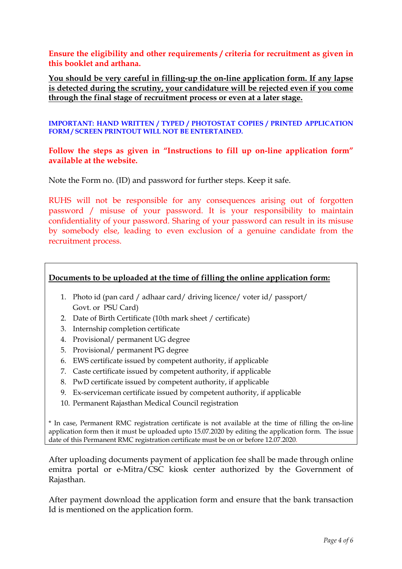**Ensure the eligibility and other requirements / criteria for recruitment as given in this booklet and arthana.**

**You should be very careful in filling-up the on-line application form. If any lapse is detected during the scrutiny, your candidature will be rejected even if you come through the final stage of recruitment process or even at a later stage.** 

**IMPORTANT: HAND WRITTEN / TYPED / PHOTOSTAT COPIES / PRINTED APPLICATION FORM / SCREEN PRINTOUT WILL NOT BE ENTERTAINED.**

**Follow the steps as given in "Instructions to fill up on-line application form" available at the website.** 

Note the Form no. (ID) and password for further steps. Keep it safe.

RUHS will not be responsible for any consequences arising out of forgotten password / misuse of your password. It is your responsibility to maintain confidentiality of your password. Sharing of your password can result in its misuse by somebody else, leading to even exclusion of a genuine candidate from the recruitment process.

#### **Documents to be uploaded at the time of filling the online application form:**

- 1. Photo id (pan card / adhaar card/ driving licence/ voter id/ passport/ Govt. or PSU Card)
- 2. Date of Birth Certificate (10th mark sheet / certificate)
- 3. Internship completion certificate
- 4. Provisional/ permanent UG degree
- 5. Provisional/ permanent PG degree
- 6. EWS certificate issued by competent authority, if applicable
- 7. Caste certificate issued by competent authority, if applicable
- 8. PwD certificate issued by competent authority, if applicable
- 9. Ex-serviceman certificate issued by competent authority, if applicable
- 10. Permanent Rajasthan Medical Council registration

\* In case, Permanent RMC registration certificate is not available at the time of filling the on-line application form then it must be uploaded upto 15.07.2020 by editing the application form. The issue date of this Permanent RMC registration certificate must be on or before 12.07.2020.

After uploading documents payment of application fee shall be made through online emitra portal or e-Mitra/CSC kiosk center authorized by the Government of Rajasthan.

After payment download the application form and ensure that the bank transaction Id is mentioned on the application form.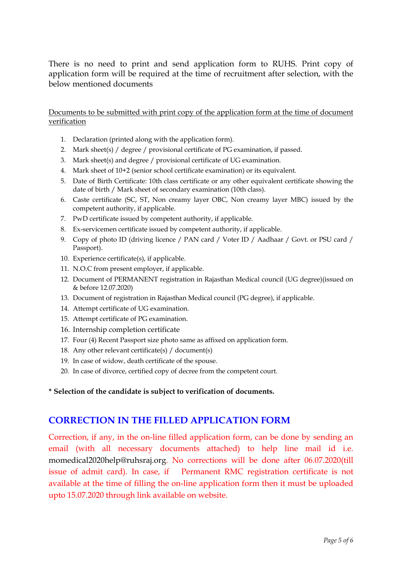There is no need to print and send application form to RUHS. Print copy of application form will be required at the time of recruitment after selection, with the below mentioned documents

#### Documents to be submitted with print copy of the application form at the time of document verification

- 1. Declaration (printed along with the application form).
- 2. Mark sheet(s) / degree / provisional certificate of PG examination, if passed.
- 3. Mark sheet(s) and degree / provisional certificate of UG examination.
- 4. Mark sheet of 10+2 (senior school certificate examination) or its equivalent.
- 5. Date of Birth Certificate: 10th class certificate or any other equivalent certificate showing the date of birth / Mark sheet of secondary examination (10th class).
- 6. Caste certificate (SC, ST, Non creamy layer OBC, Non creamy layer MBC) issued by the competent authority, if applicable.
- 7. PwD certificate issued by competent authority, if applicable.
- 8. Ex-servicemen certificate issued by competent authority, if applicable.
- 9. Copy of photo ID (driving licence / PAN card / Voter ID / Aadhaar / Govt. or PSU card / Passport).
- 10. Experience certificate(s), if applicable.
- 11. N.O.C from present employer, if applicable.
- 12. Document of PERMANENT registration in Rajasthan Medical council (UG degree)(issued on & before 12.07.2020)
- 13. Document of registration in Rajasthan Medical council (PG degree), if applicable.
- 14. Attempt certificate of UG examination.
- 15. Attempt certificate of PG examination.
- 16. Internship completion certificate
- 17. Four (4) Recent Passport size photo same as affixed on application form.
- 18. Any other relevant certificate(s) / document(s)
- 19. In case of widow, death certificate of the spouse.
- 20. In case of divorce, certified copy of decree from the competent court.

**\* Selection of the candidate is subject to verification of documents.** 

### **CORRECTION IN THE FILLED APPLICATION FORM**

Correction, if any, in the on-line filled application form, can be done by sending an email (with all necessary documents attached) to help line mail id i.e. momedical2020help@ruhsraj.org. No corrections will be done after 06.07.2020(till issue of admit card). In case, if Permanent RMC registration certificate is not available at the time of filling the on-line application form then it must be uploaded upto 15.07.2020 through link available on website.